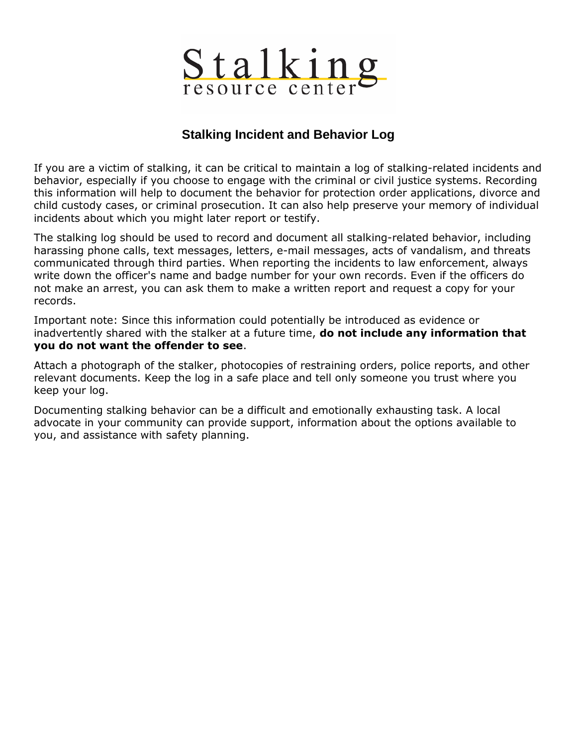

## **Stalking Incident and Behavior Log**

If you are a victim of stalking, it can be critical to maintain a log of stalking-related incidents and behavior, especially if you choose to engage with the criminal or civil justice systems. Recording this information will help to document the behavior for protection order applications, divorce and child custody cases, or criminal prosecution. It can also help preserve your memory of individual incidents about which you might later report or testify.

The stalking log should be used to record and document all stalking-related behavior, including harassing phone calls, text messages, letters, e-mail messages, acts of vandalism, and threats communicated through third parties. When reporting the incidents to law enforcement, always write down the officer's name and badge number for your own records. Even if the officers do not make an arrest, you can ask them to make a written report and request a copy for your records.

Important note: Since this information could potentially be introduced as evidence or inadvertently shared with the stalker at a future time, **do not include any information that you do not want the offender to see**.

Attach a photograph of the stalker, photocopies of restraining orders, police reports, and other relevant documents. Keep the log in a safe place and tell only someone you trust where you keep your log.

Documenting stalking behavior can be a difficult and emotionally exhausting task. A local advocate in your community can provide support, information about the options available to you, and assistance with safety planning.